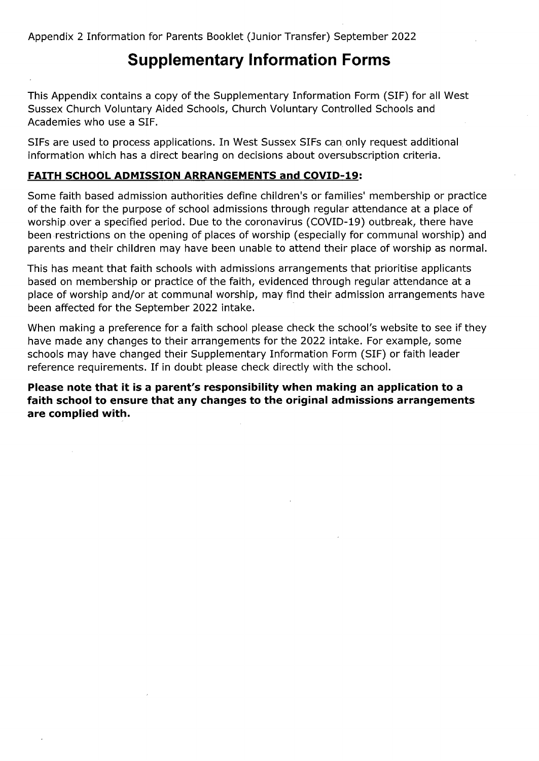Appendix 2 Information for Parents Booklet (Junior Transfer) September 2022

# **Supplementary Information Forms**

This Appendix contains a copy of the Supplementary Information Form (SIF) for all West Sussex Church Voluntary Aided Schools, Church Voluntary Controlled Schools and Academies who use a SIF.

SIFs are used to process applications. In West Sussex SIFs can only request additional information which has a direct bearing on decisions about oversubscription criteria.

#### **FAITH SCHOOL ADMISSION ARRANGEMENTS and COVID-19:**

Some faith based admission authorities define children's or families' membership or practice of the faith for the purpose of school admissions through regular attendance at a place of worship over a specified period. Due to the coronavirus (COVID-19) outbreak, there have been restrictions on the opening of places of worship (especially for communal worship) and parents and their children may have been unable to attend their place of worship as normal.

This has meant that faith schools with admissions arrangements that prioritise applicants based on membership or practice of the faith, evidenced through regular attendance at a place of worship and/or at communal worship, may find their admission arrangements have been affected for the September 2022 intake.

When making a preference for <sup>a</sup> faith school please check the school's website to see if they have made any changes to their arrangements for the 2022 intake. For example, some schools may have changed their Supplementary Information Form (SIF) or faith leader reference requirements. If in doubt please check directly with the school.

**Please note that it is a parent's responsibility when making an application to a faith school to ensure that any changes to the original admissions arrangements are complied with.**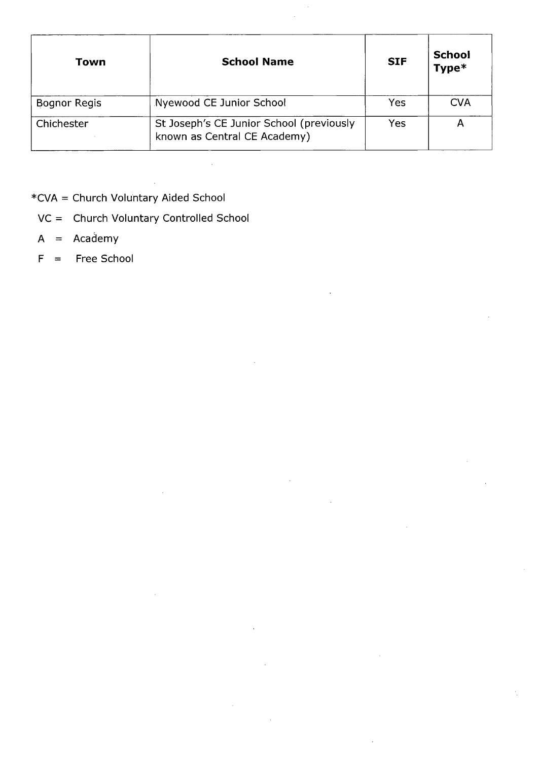| Town                | <b>School Name</b>                                                       | <b>SIF</b> | <b>School</b><br>Type* |
|---------------------|--------------------------------------------------------------------------|------------|------------------------|
| <b>Bognor Regis</b> | Nyewood CE Junior School                                                 | Yes        | <b>CVA</b>             |
| Chichester          | St Joseph's CE Junior School (previously<br>known as Central CE Academy) | Yes        |                        |

- \*CVA = Church Voluntary Aided School
	- VC = Church Voluntary Controlled School
	- A = Academy
	- F = Free School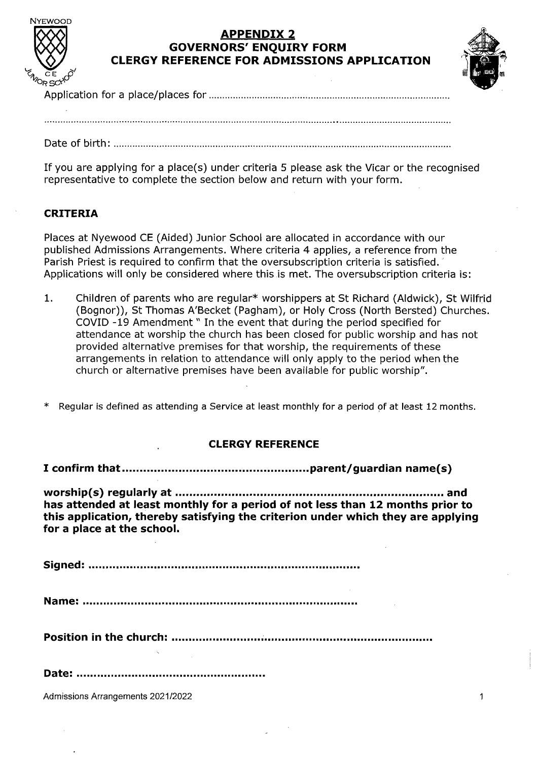

### **APPENDIX 2 GOVERNORS' ENQUIRY FORM CLERGY REFERENCE FOR ADMISSIONS APPLICATION**



Application for a place/places for

Date of birth:................................................................................................................

If you are applying for <sup>a</sup> place(s) under criteria <sup>5</sup> please ask the Vicar or the recognised representative to complete the section below and return with your form.

### **CRITERIA**

Places at Nyewood CE (Aided) Junior School are allocated in accordance with our published Admissions Arrangements. Where criteria 4 applies, a reference from the Parish Priest is required to confirm that the oversubscription criteria is satisfied. Applications will only be considered where this is met. The oversubscription criteria is:

1. Children of parents who are regular\* worshippers at St Richard (Aldwick), St Wilfrid (Bognor)), St Thomas A'Becket (Pagham), or Holy Cross (North Bersted) Churches. COVID -19 Amendment" In the event that during the period specified for attendance at worship the church has been closed for public worship and has not provided alternative premises for that worship, the requirements of these arrangements in relation to attendance will only apply to the period when the church or alternative premises have been available for public worship".

Regular is defined as attending a Service at least monthly for a period of at least 12 months.

#### **CLERGY REFERENCE**

**I confirm that.............................................................parent/guardian name(s)**

**worship(s) regularly at............ ........................................ .............................. and has attended at least monthly for a period of not less than 12 months prior to this application^ thereby satisfying the criterion under which they are applying for a place at the school.**

**Signed:**

**Name:**

**Position in the church:**

**Date:**

Admissions Arrangements 2021/2022 <sup>1</sup>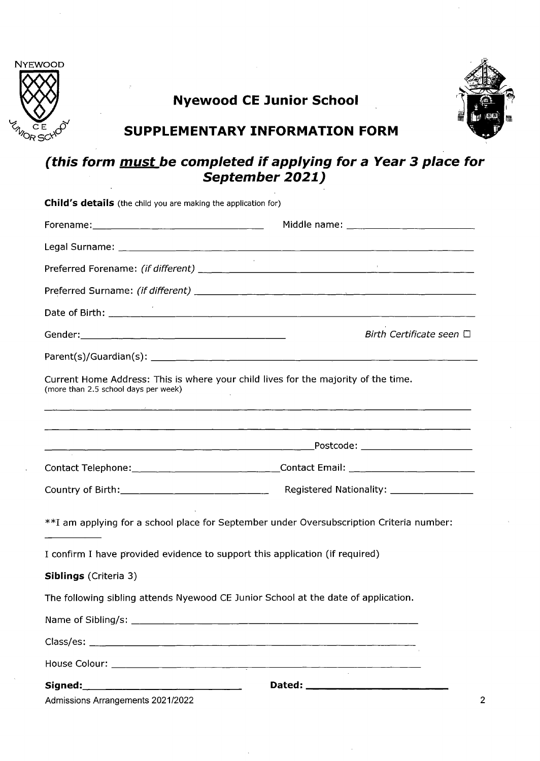

# **Nyewood CE Junior School**



## **SUPPLEMENTARY INFORMATION FORM**

## *(this form must be completed if applying for a Year 3 place for September 2021)*

| <b>Child's details</b> (the child you are making the application for)                                                      |                                                                                          |  |
|----------------------------------------------------------------------------------------------------------------------------|------------------------------------------------------------------------------------------|--|
|                                                                                                                            |                                                                                          |  |
|                                                                                                                            |                                                                                          |  |
|                                                                                                                            |                                                                                          |  |
|                                                                                                                            |                                                                                          |  |
|                                                                                                                            |                                                                                          |  |
|                                                                                                                            | Birth Certificate seen $\Box$                                                            |  |
|                                                                                                                            |                                                                                          |  |
| Current Home Address: This is where your child lives for the majority of the time.<br>(more than 2.5 school days per week) |                                                                                          |  |
|                                                                                                                            | <u> 1980 - Johann John Stone, martin am Francisco (f. 1980)</u>                          |  |
|                                                                                                                            | Contact Telephone: ________________________________Contact Email: _______________        |  |
|                                                                                                                            | Registered Nationality: _________________                                                |  |
|                                                                                                                            | **I am applying for a school place for September under Oversubscription Criteria number: |  |
| I confirm I have provided evidence to support this application (if required)                                               |                                                                                          |  |
| <b>Siblings</b> (Criteria 3)                                                                                               |                                                                                          |  |
| The following sibling attends Nyewood CE Junior School at the date of application.                                         |                                                                                          |  |
|                                                                                                                            |                                                                                          |  |
|                                                                                                                            |                                                                                          |  |
|                                                                                                                            |                                                                                          |  |
|                                                                                                                            |                                                                                          |  |
| Admissions Arrangements 2021/2022                                                                                          |                                                                                          |  |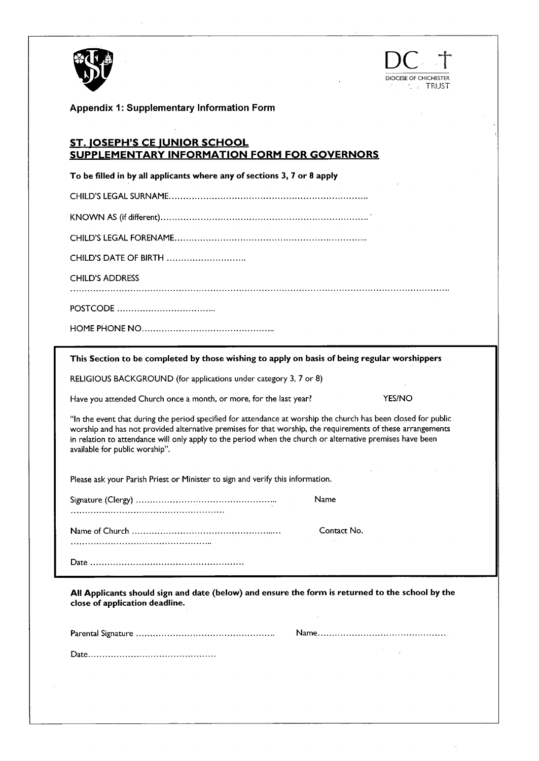



 $\bar{z}$ 

**Appendix 1: Supplementary Information Form**

#### **ST. IQSEPH^ CE IUNIOR SCHOOL SUPPLEMENTARY INFORMATION FORM FOR GOVERNORS**

**To be filled in by all applicants where any of sections 3, 7 or 8 apply**

CHILD'S LEGAL SURNAME.............................................................................................

KNOWN AS (if different).................................................................................................

CHILD'S LEGAL FORENAME..........................................................................................

CHILD'S DATE OF BIRTH....................................

CHILD'S ADDRESS

POSTCODE.............................................

HOME PHONE NO.............................................................

| This Section to be completed by those wishing to apply on basis of being regular worshippers                                                                                                                                                                                                                                                                                |               |  |  |  |
|-----------------------------------------------------------------------------------------------------------------------------------------------------------------------------------------------------------------------------------------------------------------------------------------------------------------------------------------------------------------------------|---------------|--|--|--|
| RELIGIOUS BACKGROUND (for applications under category 3, 7 or 8)                                                                                                                                                                                                                                                                                                            |               |  |  |  |
| Have you attended Church once a month, or more, for the last year?                                                                                                                                                                                                                                                                                                          | <b>YES/NO</b> |  |  |  |
| "In the event that during the period specified for attendance at worship the church has been closed for public<br>worship and has not provided alternative premises for that worship, the requirements of these arrangements<br>in relation to attendance will only apply to the period when the church or alternative premises have been<br>available for public worship". |               |  |  |  |
| Please ask your Parish Priest or Minister to sign and verify this information.                                                                                                                                                                                                                                                                                              |               |  |  |  |
| Name                                                                                                                                                                                                                                                                                                                                                                        |               |  |  |  |
|                                                                                                                                                                                                                                                                                                                                                                             | Contact No.   |  |  |  |
|                                                                                                                                                                                                                                                                                                                                                                             |               |  |  |  |
| All Applicants should sign and date (below) and ensure the form is returned to the school by the<br>close of application deadline.                                                                                                                                                                                                                                          |               |  |  |  |

Parental Signature................................................................ Name...........................................................

Date...........................................................